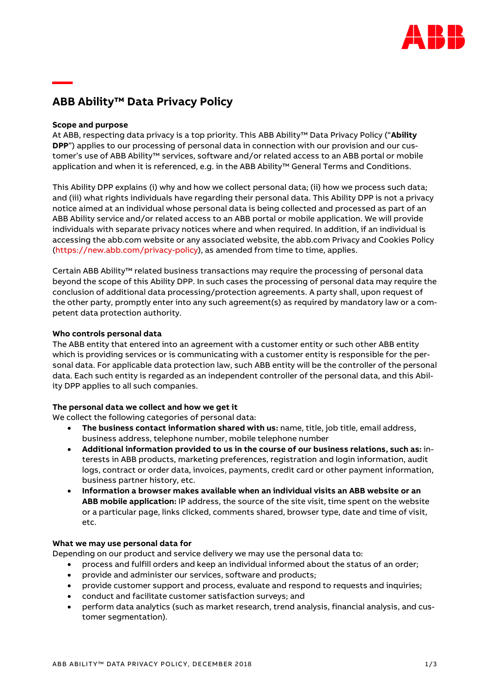

# **ABB Ability™ Data Privacy Policy**

# **Scope and purpose**

**—**

At ABB, respecting data privacy is a top priority. This ABB Ability™ Data Privacy Policy ("**Ability DPP**") applies to our processing of personal data in connection with our provision and our customer's use of ABB Ability™ services, software and/or related access to an ABB portal or mobile application and when it is referenced, e.g. in the ABB Ability™ General Terms and Conditions.

This Ability DPP explains (i) why and how we collect personal data; (ii) how we process such data; and (iii) what rights individuals have regarding their personal data. This Ability DPP is not a privacy notice aimed at an individual whose personal data is being collected and processed as part of an ABB Ability service and/or related access to an ABB portal or mobile application. We will provide individuals with separate privacy notices where and when required. In addition, if an individual is accessing the abb.com website or any associated website, the abb.com Privacy and Cookies Policy [\(https://new.abb.com/privacy-policy\)](https://new.abb.com/privacy-policy), as amended from time to time, applies.

Certain ABB Ability™ related business transactions may require the processing of personal data beyond the scope of this Ability DPP. In such cases the processing of personal data may require the conclusion of additional data processing/protection agreements. A party shall, upon request of the other party, promptly enter into any such agreement(s) as required by mandatory law or a competent data protection authority.

# **Who controls personal data**

The ABB entity that entered into an agreement with a customer entity or such other ABB entity which is providing services or is communicating with a customer entity is responsible for the personal data. For applicable data protection law, such ABB entity will be the controller of the personal data. Each such entity is regarded as an independent controller of the personal data, and this Ability DPP applies to all such companies.

# **The personal data we collect and how we get it**

We collect the following categories of personal data:

- **The business contact information shared with us:** name, title, job title, email address, business address, telephone number, mobile telephone number
- **Additional information provided to us in the course of our business relations, such as:** interests in ABB products, marketing preferences, registration and login information, audit logs, contract or order data, invoices, payments, credit card or other payment information, business partner history, etc.
- **Information a browser makes available when an individual visits an ABB website or an ABB mobile application:** IP address, the source of the site visit, time spent on the website or a particular page, links clicked, comments shared, browser type, date and time of visit, etc.

# **What we may use personal data for**

Depending on our product and service delivery we may use the personal data to:

- process and fulfill orders and keep an individual informed about the status of an order;
- provide and administer our services, software and products;
- provide customer support and process, evaluate and respond to requests and inquiries;
- conduct and facilitate customer satisfaction surveys; and
- perform data analytics (such as market research, trend analysis, financial analysis, and customer segmentation).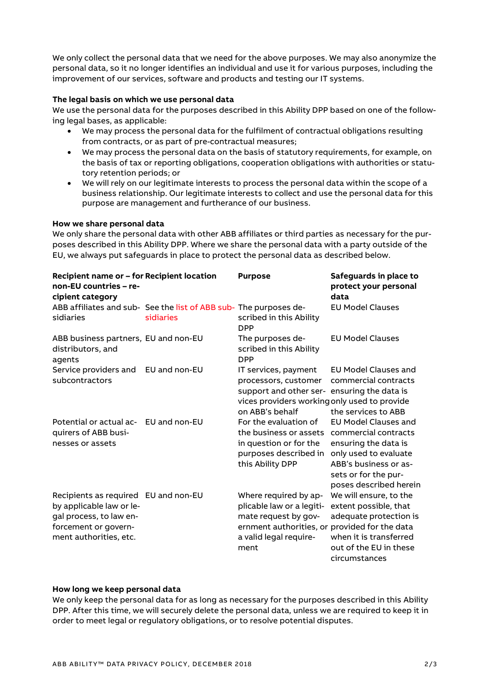We only collect the personal data that we need for the above purposes. We may also anonymize the personal data, so it no longer identifies an individual and use it for various purposes, including the improvement of our services, software and products and testing our IT systems.

#### **The legal basis on which we use personal data**

We use the personal data for the purposes described in this Ability DPP based on one of the following legal bases, as applicable:

- We may process the personal data for the fulfilment of contractual obligations resulting from contracts, or as part of pre-contractual measures;
- We may process the personal data on the basis of statutory requirements, for example, on the basis of tax or reporting obligations, cooperation obligations with authorities or statutory retention periods; or
- We will rely on our legitimate interests to process the personal data within the scope of a business relationship. Our legitimate interests to collect and use the personal data for this purpose are management and furtherance of our business.

#### **How we share personal data**

We only share the personal data with other ABB affiliates or third parties as necessary for the purposes described in this Ability DPP. Where we share the personal data with a party outside of the EU, we always put safeguards in place to protect the personal data as described below.

| Recipient name or - for Recipient location<br>non-EU countries - re-<br>cipient category                                                      |                                                                                | <b>Purpose</b>                                                                                                                                                 | Safeguards in place to<br>protect your personal<br>data                                                                                                                         |
|-----------------------------------------------------------------------------------------------------------------------------------------------|--------------------------------------------------------------------------------|----------------------------------------------------------------------------------------------------------------------------------------------------------------|---------------------------------------------------------------------------------------------------------------------------------------------------------------------------------|
| sidiaries                                                                                                                                     | ABB affiliates and sub- See the list of ABB sub- The purposes de-<br>sidiaries | scribed in this Ability<br><b>DPP</b>                                                                                                                          | <b>EU Model Clauses</b>                                                                                                                                                         |
| ABB business partners, EU and non-EU<br>distributors, and<br>agents                                                                           |                                                                                | The purposes de-<br>scribed in this Ability<br><b>DPP</b>                                                                                                      | <b>EU Model Clauses</b>                                                                                                                                                         |
| Service providers and<br>subcontractors                                                                                                       | EU and non-EU                                                                  | IT services, payment<br>processors, customer<br>support and other ser- ensuring the data is<br>vices providers working only used to provide<br>on ABB's behalf | <b>EU Model Clauses and</b><br>commercial contracts<br>the services to ABB                                                                                                      |
| Potential or actual ac-<br>quirers of ABB busi-<br>nesses or assets                                                                           | EU and non-EU                                                                  | For the evaluation of<br>the business or assets<br>in question or for the<br>purposes described in<br>this Ability DPP                                         | <b>EU Model Clauses and</b><br>commercial contracts<br>ensuring the data is<br>only used to evaluate<br>ABB's business or as-<br>sets or for the pur-<br>poses described herein |
| Recipients as required EU and non-EU<br>by applicable law or le-<br>gal process, to law en-<br>forcement or govern-<br>ment authorities, etc. |                                                                                | Where required by ap-<br>plicable law or a legiti-<br>mate request by gov-<br>ernment authorities, or provided for the data<br>a valid legal require-<br>ment  | We will ensure, to the<br>extent possible, that<br>adequate protection is<br>when it is transferred<br>out of the EU in these<br>circumstances                                  |

#### **How long we keep personal data**

We only keep the personal data for as long as necessary for the purposes described in this Ability DPP. After this time, we will securely delete the personal data, unless we are required to keep it in order to meet legal or regulatory obligations, or to resolve potential disputes.